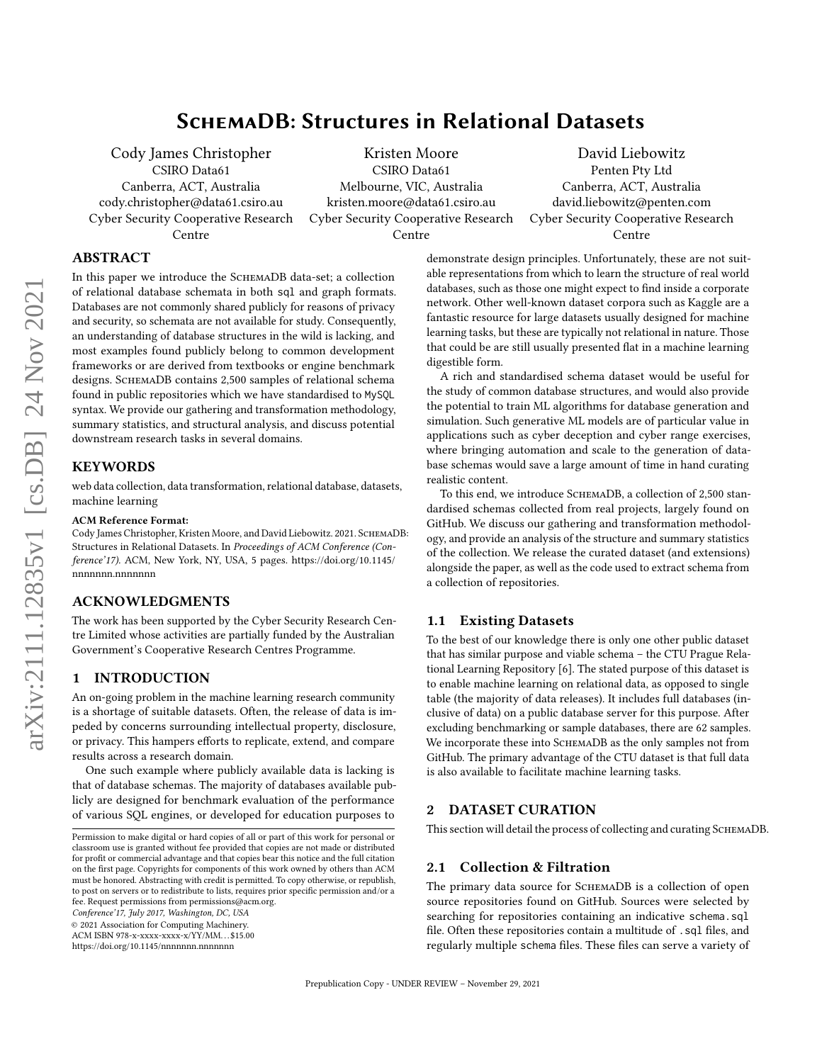# SchemaDB: Structures in Relational Datasets

Cody James Christopher CSIRO Data61

Canberra, ACT, Australia cody.christopher@data61.csiro.au Cyber Security Cooperative Research Centre

Kristen Moore CSIRO Data61 Melbourne, VIC, Australia kristen.moore@data61.csiro.au Cyber Security Cooperative Research Centre

David Liebowitz Penten Pty Ltd Canberra, ACT, Australia david.liebowitz@penten.com Cyber Security Cooperative Research Centre

# ABSTRACT

In this paper we introduce the SchemaDB data-set; a collection of relational database schemata in both sql and graph formats. Databases are not commonly shared publicly for reasons of privacy and security, so schemata are not available for study. Consequently, an understanding of database structures in the wild is lacking, and most examples found publicly belong to common development frameworks or are derived from textbooks or engine benchmark designs. SchemaDB contains 2,500 samples of relational schema found in public repositories which we have standardised to MySQL syntax. We provide our gathering and transformation methodology, summary statistics, and structural analysis, and discuss potential downstream research tasks in several domains.

# **KEYWORDS**

web data collection, data transformation, relational database, datasets, machine learning

#### ACM Reference Format:

Cody James Christopher, Kristen Moore, and David Liebowitz. 2021. SchemaDB: Structures in Relational Datasets. In Proceedings of ACM Conference (Conference'17). ACM, New York, NY, USA, [5](#page-4-0) pages. [https://doi.org/10.1145/](https://doi.org/10.1145/nnnnnnn.nnnnnnn) [nnnnnnn.nnnnnnn](https://doi.org/10.1145/nnnnnnn.nnnnnnn)

#### ACKNOWLEDGMENTS

The work has been supported by the Cyber Security Research Centre Limited whose activities are partially funded by the Australian Government's Cooperative Research Centres Programme.

# 1 INTRODUCTION

An on-going problem in the machine learning research community is a shortage of suitable datasets. Often, the release of data is impeded by concerns surrounding intellectual property, disclosure, or privacy. This hampers efforts to replicate, extend, and compare results across a research domain.

One such example where publicly available data is lacking is that of database schemas. The majority of databases available publicly are designed for benchmark evaluation of the performance of various SQL engines, or developed for education purposes to

Conference'17, July 2017, Washington, DC, USA

© 2021 Association for Computing Machinery.

ACM ISBN 978-x-xxxx-xxxx-x/YY/MM. . . \$15.00

<https://doi.org/10.1145/nnnnnnn.nnnnnnn>

demonstrate design principles. Unfortunately, these are not suitable representations from which to learn the structure of real world databases, such as those one might expect to find inside a corporate network. Other well-known dataset corpora such as Kaggle are a fantastic resource for large datasets usually designed for machine learning tasks, but these are typically not relational in nature. Those that could be are still usually presented flat in a machine learning digestible form.

A rich and standardised schema dataset would be useful for the study of common database structures, and would also provide the potential to train ML algorithms for database generation and simulation. Such generative ML models are of particular value in applications such as cyber deception and cyber range exercises, where bringing automation and scale to the generation of database schemas would save a large amount of time in hand curating realistic content.

To this end, we introduce SchemaDB, a collection of 2,500 standardised schemas collected from real projects, largely found on GitHub. We discuss our gathering and transformation methodology, and provide an analysis of the structure and summary statistics of the collection. We release the curated dataset (and extensions) alongside the paper, as well as the code used to extract schema from a collection of repositories.

# 1.1 Existing Datasets

To the best of our knowledge there is only one other public dataset that has similar purpose and viable schema – the CTU Prague Relational Learning Repository [\[6\]](#page-4-1). The stated purpose of this dataset is to enable machine learning on relational data, as opposed to single table (the majority of data releases). It includes full databases (inclusive of data) on a public database server for this purpose. After excluding benchmarking or sample databases, there are 62 samples. We incorporate these into SCHEMADB as the only samples not from GitHub. The primary advantage of the CTU dataset is that full data is also available to facilitate machine learning tasks.

# 2 DATASET CURATION

This section will detail the process of collecting and curating SchemaDB.

#### 2.1 Collection & Filtration

The primary data source for SCHEMADB is a collection of open source repositories found on GitHub. Sources were selected by searching for repositories containing an indicative schema.sql file. Often these repositories contain a multitude of .sql files, and regularly multiple schema files. These files can serve a variety of

Permission to make digital or hard copies of all or part of this work for personal or classroom use is granted without fee provided that copies are not made or distributed for profit or commercial advantage and that copies bear this notice and the full citation on the first page. Copyrights for components of this work owned by others than ACM must be honored. Abstracting with credit is permitted. To copy otherwise, or republish, to post on servers or to redistribute to lists, requires prior specific permission and/or a fee. Request permissions from permissions@acm.org.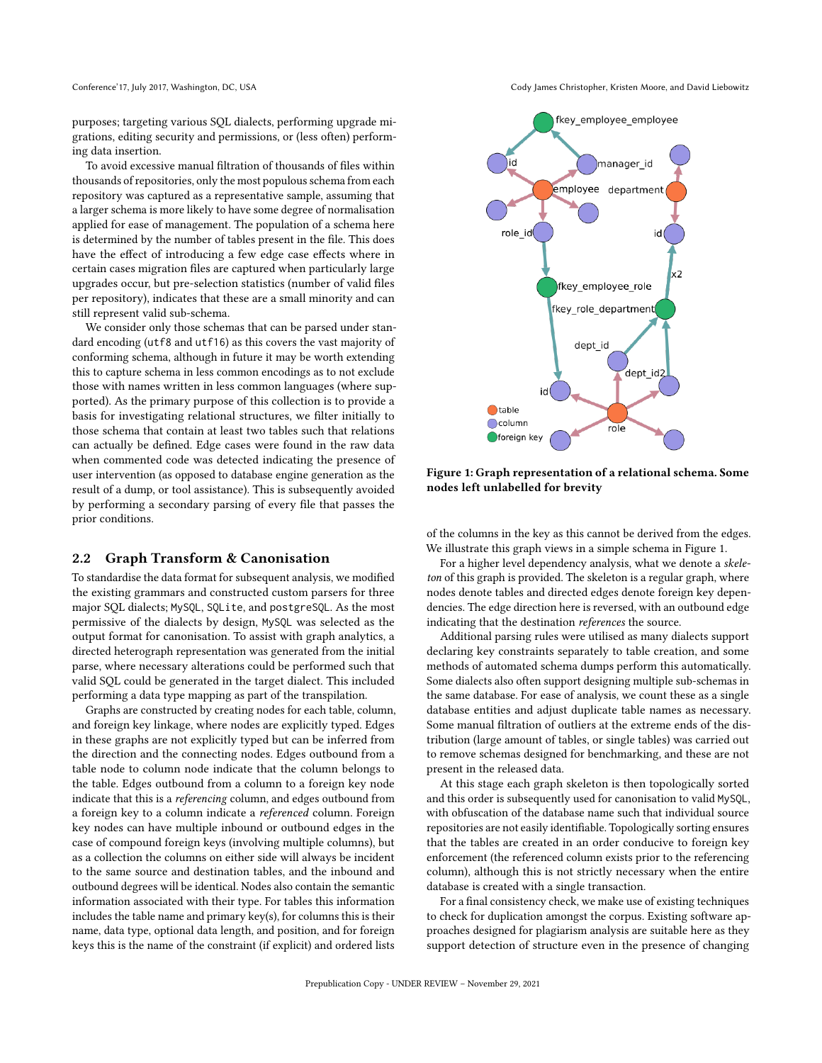purposes; targeting various SQL dialects, performing upgrade migrations, editing security and permissions, or (less often) performing data insertion.

To avoid excessive manual filtration of thousands of files within thousands of repositories, only the most populous schema from each repository was captured as a representative sample, assuming that a larger schema is more likely to have some degree of normalisation applied for ease of management. The population of a schema here is determined by the number of tables present in the file. This does have the effect of introducing a few edge case effects where in certain cases migration files are captured when particularly large upgrades occur, but pre-selection statistics (number of valid files per repository), indicates that these are a small minority and can still represent valid sub-schema.

We consider only those schemas that can be parsed under standard encoding (utf8 and utf16) as this covers the vast majority of conforming schema, although in future it may be worth extending this to capture schema in less common encodings as to not exclude those with names written in less common languages (where supported). As the primary purpose of this collection is to provide a basis for investigating relational structures, we filter initially to those schema that contain at least two tables such that relations can actually be defined. Edge cases were found in the raw data when commented code was detected indicating the presence of user intervention (as opposed to database engine generation as the result of a dump, or tool assistance). This is subsequently avoided by performing a secondary parsing of every file that passes the prior conditions.

#### 2.2 Graph Transform & Canonisation

To standardise the data format for subsequent analysis, we modified the existing grammars and constructed custom parsers for three major SQL dialects; MySQL, SQLite, and postgreSQL. As the most permissive of the dialects by design, MySQL was selected as the output format for canonisation. To assist with graph analytics, a directed heterograph representation was generated from the initial parse, where necessary alterations could be performed such that valid SQL could be generated in the target dialect. This included performing a data type mapping as part of the transpilation.

Graphs are constructed by creating nodes for each table, column, and foreign key linkage, where nodes are explicitly typed. Edges in these graphs are not explicitly typed but can be inferred from the direction and the connecting nodes. Edges outbound from a table node to column node indicate that the column belongs to the table. Edges outbound from a column to a foreign key node indicate that this is a referencing column, and edges outbound from a foreign key to a column indicate a referenced column. Foreign key nodes can have multiple inbound or outbound edges in the case of compound foreign keys (involving multiple columns), but as a collection the columns on either side will always be incident to the same source and destination tables, and the inbound and outbound degrees will be identical. Nodes also contain the semantic information associated with their type. For tables this information includes the table name and primary key(s), for columns this is their name, data type, optional data length, and position, and for foreign keys this is the name of the constraint (if explicit) and ordered lists

Conference'17, July 2017, Washington, DC, USA Conference'17, July 2017, Washington, DC, USA Cody James Christopher, Kristen Moore, and David Liebowitz

<span id="page-1-0"></span>

Figure 1: Graph representation of a relational schema. Some nodes left unlabelled for brevity

of the columns in the key as this cannot be derived from the edges. We illustrate this graph views in a simple schema in Figure [1.](#page-1-0)

For a higher level dependency analysis, what we denote a skeleton of this graph is provided. The skeleton is a regular graph, where nodes denote tables and directed edges denote foreign key dependencies. The edge direction here is reversed, with an outbound edge indicating that the destination references the source.

Additional parsing rules were utilised as many dialects support declaring key constraints separately to table creation, and some methods of automated schema dumps perform this automatically. Some dialects also often support designing multiple sub-schemas in the same database. For ease of analysis, we count these as a single database entities and adjust duplicate table names as necessary. Some manual filtration of outliers at the extreme ends of the distribution (large amount of tables, or single tables) was carried out to remove schemas designed for benchmarking, and these are not present in the released data.

At this stage each graph skeleton is then topologically sorted and this order is subsequently used for canonisation to valid MySQL, with obfuscation of the database name such that individual source repositories are not easily identifiable. Topologically sorting ensures that the tables are created in an order conducive to foreign key enforcement (the referenced column exists prior to the referencing column), although this is not strictly necessary when the entire database is created with a single transaction.

For a final consistency check, we make use of existing techniques to check for duplication amongst the corpus. Existing software approaches designed for plagiarism analysis are suitable here as they support detection of structure even in the presence of changing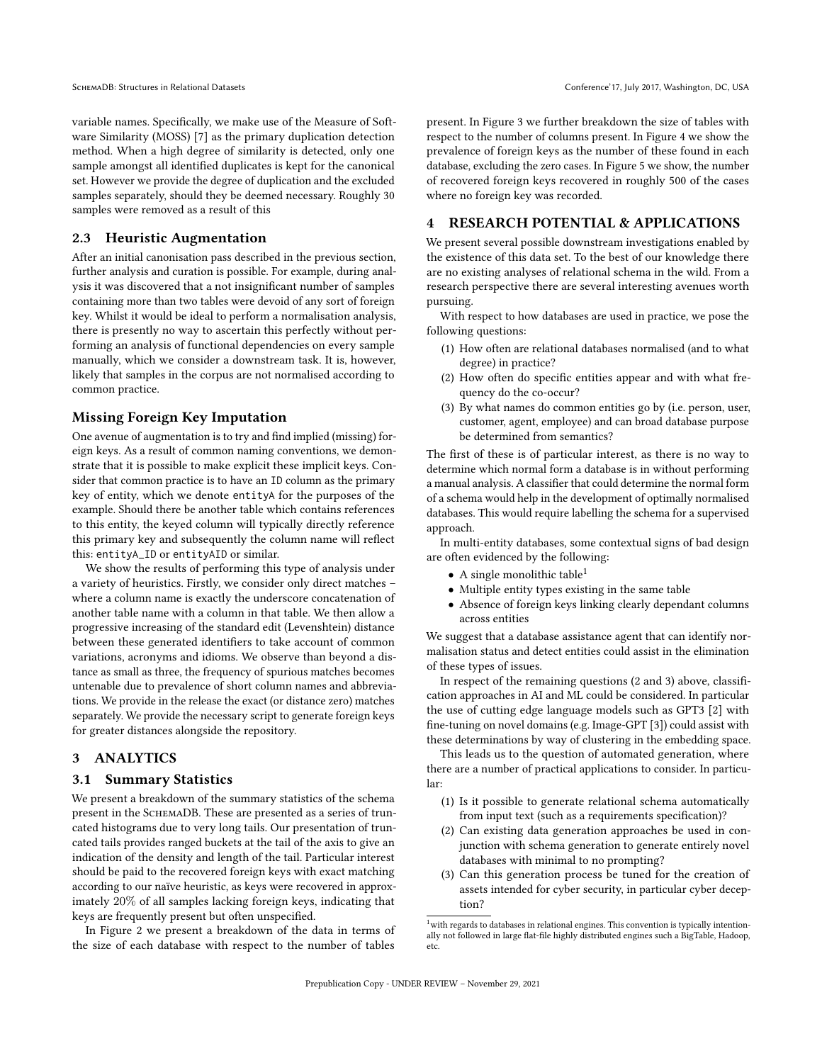SchemaDB: Structures in Relational Datasets Conference'17, July 2017, Washington, DC, USA

variable names. Specifically, we make use of the Measure of Software Similarity (MOSS) [\[7\]](#page-4-2) as the primary duplication detection method. When a high degree of similarity is detected, only one sample amongst all identified duplicates is kept for the canonical set. However we provide the degree of duplication and the excluded samples separately, should they be deemed necessary. Roughly 30 samples were removed as a result of this

### 2.3 Heuristic Augmentation

After an initial canonisation pass described in the previous section, further analysis and curation is possible. For example, during analysis it was discovered that a not insignificant number of samples containing more than two tables were devoid of any sort of foreign key. Whilst it would be ideal to perform a normalisation analysis, there is presently no way to ascertain this perfectly without performing an analysis of functional dependencies on every sample manually, which we consider a downstream task. It is, however, likely that samples in the corpus are not normalised according to common practice.

# Missing Foreign Key Imputation

One avenue of augmentation is to try and find implied (missing) foreign keys. As a result of common naming conventions, we demonstrate that it is possible to make explicit these implicit keys. Consider that common practice is to have an ID column as the primary key of entity, which we denote entityA for the purposes of the example. Should there be another table which contains references to this entity, the keyed column will typically directly reference this primary key and subsequently the column name will reflect this: entityA\_ID or entityAID or similar.

We show the results of performing this type of analysis under a variety of heuristics. Firstly, we consider only direct matches – where a column name is exactly the underscore concatenation of another table name with a column in that table. We then allow a progressive increasing of the standard edit (Levenshtein) distance between these generated identifiers to take account of common variations, acronyms and idioms. We observe than beyond a distance as small as three, the frequency of spurious matches becomes untenable due to prevalence of short column names and abbreviations. We provide in the release the exact (or distance zero) matches separately. We provide the necessary script to generate foreign keys for greater distances alongside the repository.

#### 3 ANALYTICS

#### 3.1 Summary Statistics

We present a breakdown of the summary statistics of the schema present in the SCHEMADB. These are presented as a series of truncated histograms due to very long tails. Our presentation of truncated tails provides ranged buckets at the tail of the axis to give an indication of the density and length of the tail. Particular interest should be paid to the recovered foreign keys with exact matching according to our naïve heuristic, as keys were recovered in approximately 20% of all samples lacking foreign keys, indicating that keys are frequently present but often unspecified.

In Figure [2](#page-3-0) we present a breakdown of the data in terms of the size of each database with respect to the number of tables

present. In Figure [3](#page-3-1) we further breakdown the size of tables with respect to the number of columns present. In Figure [4](#page-3-2) we show the prevalence of foreign keys as the number of these found in each database, excluding the zero cases. In Figure [5](#page-4-3) we show, the number of recovered foreign keys recovered in roughly 500 of the cases where no foreign key was recorded.

# 4 RESEARCH POTENTIAL & APPLICATIONS

We present several possible downstream investigations enabled by the existence of this data set. To the best of our knowledge there are no existing analyses of relational schema in the wild. From a research perspective there are several interesting avenues worth pursuing.

With respect to how databases are used in practice, we pose the following questions:

- (1) How often are relational databases normalised (and to what degree) in practice?
- (2) How often do specific entities appear and with what frequency do the co-occur?
- (3) By what names do common entities go by (i.e. person, user, customer, agent, employee) and can broad database purpose be determined from semantics?

The first of these is of particular interest, as there is no way to determine which normal form a database is in without performing a manual analysis. A classifier that could determine the normal form of a schema would help in the development of optimally normalised databases. This would require labelling the schema for a supervised approach.

In multi-entity databases, some contextual signs of bad design are often evidenced by the following:

- A single monolithic table<sup>[1](#page-2-0)</sup>
- Multiple entity types existing in the same table
- Absence of foreign keys linking clearly dependant columns across entities

We suggest that a database assistance agent that can identify normalisation status and detect entities could assist in the elimination of these types of issues.

In respect of the remaining questions (2 and 3) above, classification approaches in AI and ML could be considered. In particular the use of cutting edge language models such as GPT3 [\[2\]](#page-4-4) with fine-tuning on novel domains (e.g. Image-GPT [\[3\]](#page-4-5)) could assist with these determinations by way of clustering in the embedding space.

This leads us to the question of automated generation, where there are a number of practical applications to consider. In particular:

- (1) Is it possible to generate relational schema automatically from input text (such as a requirements specification)?
- (2) Can existing data generation approaches be used in conjunction with schema generation to generate entirely novel databases with minimal to no prompting?
- (3) Can this generation process be tuned for the creation of assets intended for cyber security, in particular cyber deception?

<span id="page-2-0"></span> $1$  with regards to databases in relational engines. This convention is typically intentionally not followed in large flat-file highly distributed engines such a BigTable, Hadoop, etc.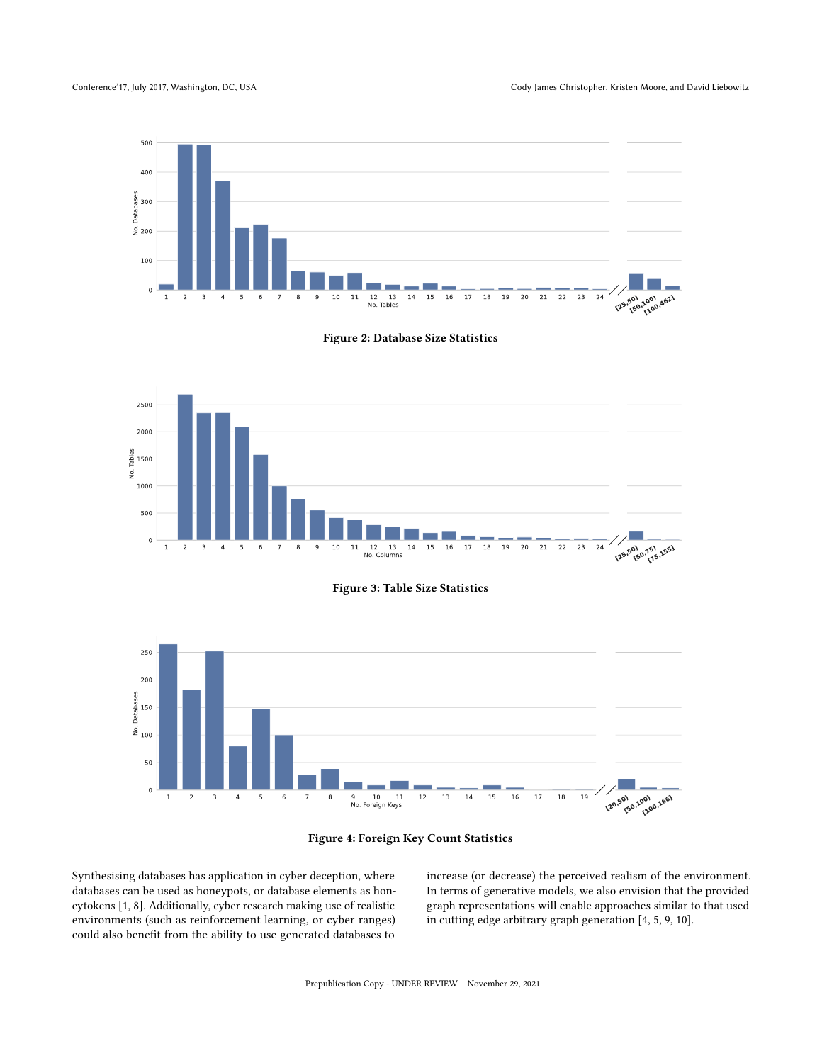<span id="page-3-0"></span>Conference'17, July 2017, Washington, DC, USA Conference'17, July 2017, Washington, DC, USA Cody James Christopher, Kristen Moore, and David Liebowitz





<span id="page-3-1"></span>



<span id="page-3-2"></span>



Synthesising databases has application in cyber deception, where databases can be used as honeypots, or database elements as honeytokens [\[1,](#page-4-6) [8\]](#page-4-7). Additionally, cyber research making use of realistic environments (such as reinforcement learning, or cyber ranges) could also benefit from the ability to use generated databases to

increase (or decrease) the perceived realism of the environment. In terms of generative models, we also envision that the provided graph representations will enable approaches similar to that used in cutting edge arbitrary graph generation [\[4,](#page-4-8) [5,](#page-4-9) [9,](#page-4-10) [10\]](#page-4-11).